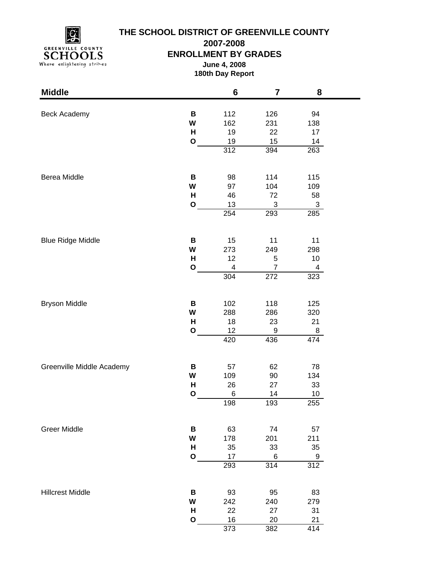

# **THE SCHOOL DISTRICT OF GREENVILLE COUNTY**

**2007-2008**

### **ENROLLMENT BY GRADES**

**June 4, 2008 180th Day Report**

| <b>Middle</b>             |              | 6          | $\overline{7}$   | 8         |  |
|---------------------------|--------------|------------|------------------|-----------|--|
|                           |              |            |                  |           |  |
| Beck Academy              | В<br>W       | 112<br>162 | 126<br>231       | 94        |  |
|                           | H            | 19         | 22               | 138<br>17 |  |
|                           | $\mathbf O$  | 19         | 15               | 14        |  |
|                           |              | 312        | 394              | 263       |  |
|                           |              |            |                  |           |  |
| Berea Middle              | B            | 98         | 114              | 115       |  |
|                           | W            | 97         | 104              | 109       |  |
|                           | H            | 46         | 72               | 58        |  |
|                           | $\mathbf{o}$ | 13         | 3                | 3         |  |
|                           |              | 254        | 293              | 285       |  |
|                           | B            | 15         | 11               | 11        |  |
| <b>Blue Ridge Middle</b>  | W            | 273        | 249              | 298       |  |
|                           | H            | 12         | 5                | $10$      |  |
|                           | $\mathbf{o}$ | 4          | $\overline{7}$   | 4         |  |
|                           |              | 304        | 272              | 323       |  |
|                           |              |            |                  |           |  |
| <b>Bryson Middle</b>      | В            | 102        | 118              | 125       |  |
|                           | W            | 288        | 286              | 320       |  |
|                           | H            | 18         | 23               | 21        |  |
|                           | $\mathbf O$  | 12         | $\boldsymbol{9}$ | 8         |  |
|                           |              | 420        | 436              | 474       |  |
| Greenville Middle Academy | В            | 57         | 62               | 78        |  |
|                           | W            | 109        | 90               | 134       |  |
|                           | H            | 26         | 27               | 33        |  |
|                           | $\mathbf{o}$ | 6          | 14               | 10        |  |
|                           |              | 198        | 193              | 255       |  |
| <b>Greer Middle</b>       | В            | 63         | 74               | 57        |  |
|                           | W            | 178        | 201              | 211       |  |
|                           | н            | 35         | 33               | 35        |  |
|                           | $\mathbf{o}$ | 17         | 6                | 9         |  |
|                           |              | 293        | 314              | 312       |  |
|                           |              |            |                  |           |  |
| <b>Hillcrest Middle</b>   | В            | 93         | 95               | 83        |  |
|                           | W            | 242        | 240              | 279       |  |
|                           | н            | 22         | 27               | 31        |  |
|                           | $\mathbf{o}$ | 16         | 20               | 21        |  |
|                           |              | 373        | 382              | 414       |  |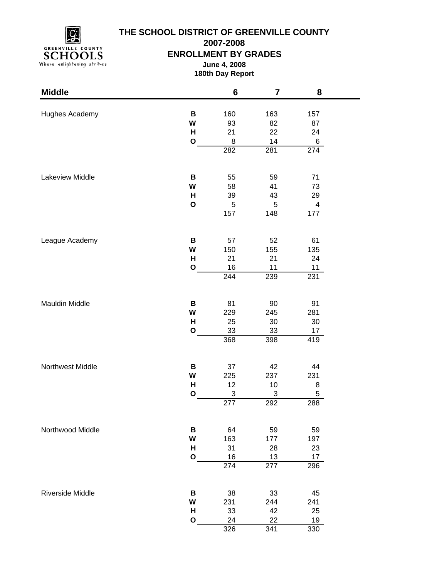

# **THE SCHOOL DISTRICT OF GREENVILLE COUNTY**

**2007-2008**

### **ENROLLMENT BY GRADES**

**June 4, 2008 180th Day Report**

| <b>Middle</b>    |                   | $6\phantom{1}$   | 7         | 8        |  |
|------------------|-------------------|------------------|-----------|----------|--|
|                  |                   |                  |           |          |  |
| Hughes Academy   | В                 | 160              | 163       | 157      |  |
|                  | W                 | 93               | 82        | 87       |  |
|                  | н<br>$\mathbf{o}$ | 21               | 22        | 24       |  |
|                  |                   | 8<br>282         | 14<br>281 | 6<br>274 |  |
|                  |                   |                  |           |          |  |
| Lakeview Middle  | B                 | 55               | 59        | 71       |  |
|                  | W                 | 58               | 41        | 73       |  |
|                  | H                 | 39               | 43        | 29       |  |
|                  | O                 | 5                | 5         | 4        |  |
|                  |                   | 157              | 148       | 177      |  |
| League Academy   | В                 | 57               | 52        | 61       |  |
|                  | W                 | 150              | 155       | 135      |  |
|                  | H                 | 21               | 21        | 24       |  |
|                  | O                 | 16               | 11        | 11       |  |
|                  |                   | 244              | 239       | 231      |  |
|                  |                   |                  |           |          |  |
| Mauldin Middle   | В                 | 81               | 90        | 91       |  |
|                  | W                 | 229              | 245       | 281      |  |
|                  | H                 | 25               | 30        | 30       |  |
|                  | O                 | 33               | 33        | 17       |  |
|                  |                   | 368              | 398       | 419      |  |
| Northwest Middle | В                 | 37               | 42        | 44       |  |
|                  | W                 | 225              | 237       | 231      |  |
|                  | H                 | 12               | 10        | 8        |  |
|                  | O                 | 3                | 3         | 5        |  |
|                  |                   | 277              | 292       | 288      |  |
| Northwood Middle | В                 | 64               | 59        | 59       |  |
|                  | W                 | 163              | 177       | 197      |  |
|                  | H                 | 31               | 28        | 23       |  |
|                  | $\mathbf O$       | 16               | 13        | 17       |  |
|                  |                   | $\overline{274}$ | 277       | 296      |  |
|                  |                   |                  |           |          |  |
| Riverside Middle | В                 | 38               | 33        | 45       |  |
|                  | W                 | 231              | 244       | 241      |  |
|                  | H                 | 33               | 42        | 25       |  |
|                  | $\mathbf O$       | 24               | 22        | 19       |  |
|                  |                   | 326              | 341       | 330      |  |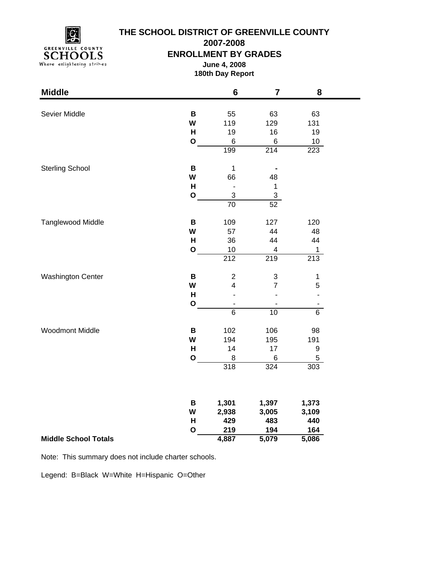

### **THE SCHOOL DISTRICT OF GREENVILLE COUNTY**

**2007-2008**

#### **ENROLLMENT BY GRADES**

**June 4, 2008 180th Day Report**

| <b>Middle</b>               |              | $6\phantom{1}$               | $\overline{7}$            | 8                |
|-----------------------------|--------------|------------------------------|---------------------------|------------------|
| Sevier Middle               | $\, {\bf B}$ | 55                           | 63                        | 63               |
|                             | W            | 119                          | 129                       | 131              |
|                             | H            | 19                           | 16                        | 19               |
|                             | $\mathbf{o}$ | $\,6$                        | 6                         | 10               |
|                             |              | 199                          | 214                       | 223              |
|                             |              |                              |                           |                  |
| <b>Sterling School</b>      | B            | $\mathbf 1$                  |                           |                  |
|                             | W            | 66                           | 48                        |                  |
|                             | H            | $\overline{a}$               | 1                         |                  |
|                             | $\mathbf{o}$ | 3                            | $\ensuremath{\mathsf{3}}$ |                  |
|                             |              | $\overline{70}$              | 52                        |                  |
| Tanglewood Middle           | $\, {\bf B}$ | 109                          | 127                       | 120              |
|                             | W            | 57                           | 44                        | 48               |
|                             | H            | 36                           | 44                        | 44               |
|                             | $\mathbf{o}$ | 10                           | 4                         | 1                |
|                             |              | 212                          | 219                       | $\overline{213}$ |
| <b>Washington Center</b>    | $\, {\bf B}$ | $\overline{2}$               | 3                         | 1                |
|                             | W            | $\overline{\mathbf{4}}$      | $\overline{7}$            | 5                |
|                             | H            | L,                           | L,                        | $\overline{a}$   |
|                             | $\mathbf{o}$ | $\qquad \qquad \blacksquare$ |                           |                  |
|                             |              | $\overline{6}$               | $\overline{10}$           | $\overline{6}$   |
|                             |              |                              |                           |                  |
| <b>Woodmont Middle</b>      | B            | 102                          | 106                       | 98               |
|                             | W            | 194                          | 195                       | 191              |
|                             | H            | 14                           | 17                        | $\boldsymbol{9}$ |
|                             | $\mathbf O$  | $\bf8$                       | $\,6$                     | $\mathbf 5$      |
|                             |              | 318                          | 324                       | 303              |
|                             |              |                              |                           |                  |
|                             | В            | 1,301                        | 1,397                     | 1,373            |
|                             | W            | 2,938                        | 3,005                     | 3,109            |
|                             | H            | 429                          | 483                       | 440              |
|                             | $\mathbf{o}$ | 219                          | 194                       | 164              |
| <b>Middle School Totals</b> |              | 4,887                        | 5,079                     | 5,086            |

Note: This summary does not include charter schools.

Legend: B=Black W=White H=Hispanic O=Other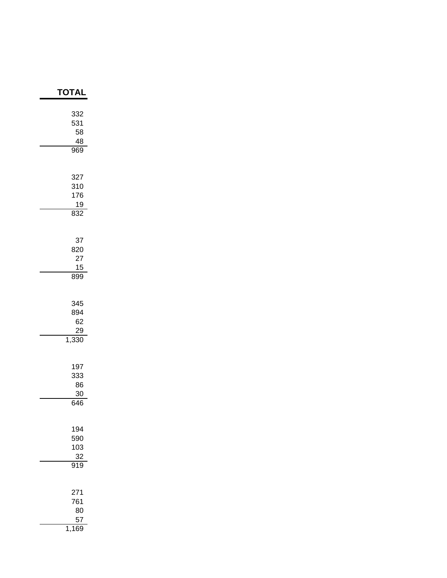| <b>TOTAI</b>                          |
|---------------------------------------|
| 332<br>531<br>58<br>48<br>969         |
| 327<br>310<br>176<br><u>19</u><br>832 |
| 37<br>820<br>27<br>15<br>899          |
| 345<br>894<br>62<br>29<br>1,330       |
| 197<br>333<br>86<br>30<br>646         |
| 194<br>590<br>103<br>$\frac{32}{919}$ |
| 271<br>761<br>80<br>57<br>1,<br>169   |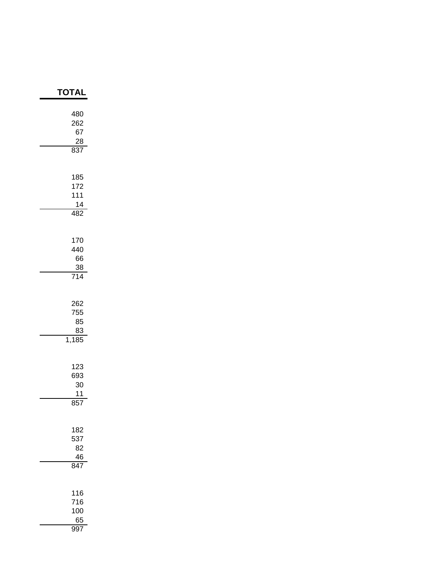| <b>TOTAL</b>                                |
|---------------------------------------------|
| 480<br>262<br>67<br>$\frac{28}{1}$<br>837   |
| 185<br>172<br>111<br>14<br>482              |
| 170<br>440<br>66<br>$\frac{38}{714}$        |
| 262<br>755<br>85<br>83<br>1,185             |
| 123<br>693<br>30<br>11<br>857               |
| 182<br>537<br>82<br>46<br>$\overline{847}$  |
| 116<br>716<br>100<br>65<br>$99\overline{7}$ |